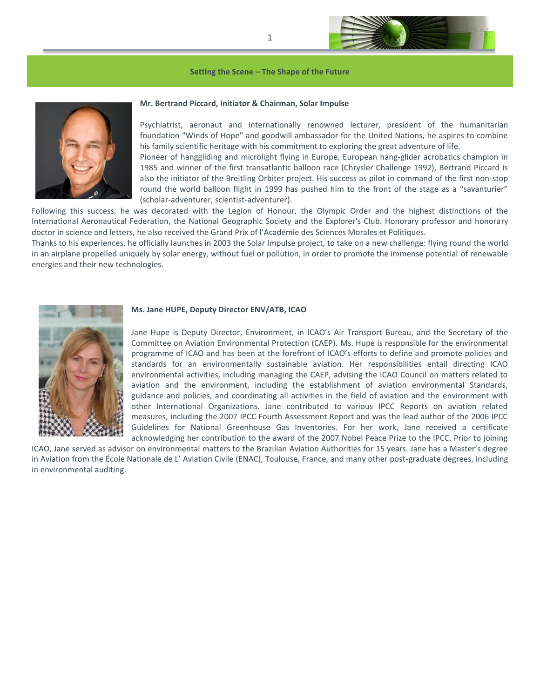

#### **Setting the Scene – The Shape of the Future**



# **Mr. Bertrand Piccard, Initiator & Chairman, Solar Impulse**

Psychiatrist, aeronaut and internationally renowned lecturer, president of the humanitarian foundation "Winds of Hope" and goodwill ambassador for the United Nations, he aspires to combine his family scientific heritage with his commitment to exploring the great adventure of life.

Pioneer of hanggliding and microlight flying in Europe, European hang-glider acrobatics champion in 1985 and winner of the first transatlantic balloon race (Chrysler Challenge 1992), Bertrand Piccard is also the initiator of the Breitling Orbiter project. His success as pilot in command of the first non-stop round the world balloon flight in 1999 has pushed him to the front of the stage as a "savanturier" (scholar-adventurer, scientist-adventurer).

Following this success, he was decorated with the Legion of Honour, the Olympic Order and the highest distinctions of the International Aeronautical Federation, the National Geographic Society and the Explorer's Club. Honorary professor and honorary doctor in science and letters, he also received the Grand Prix of l'Académie des Sciences Morales et Politiques.

Thanks to his experiences, he officially launches in 2003 the Solar Impulse project, to take on a new challenge: flying round the world in an airplane propelled uniquely by solar energy, without fuel or pollution, in order to promote the immense potential of renewable energies and their new technologies.



#### **Ms. Jane HUPE, Deputy Director ENV/ATB, ICAO**

Jane Hupe is Deputy Director, Environment, in ICAO's Air Transport Bureau, and the Secretary of the Committee on Aviation Environmental Protection (CAEP). Ms. Hupe is responsible for the environmental programme of ICAO and has been at the forefront of ICAO's efforts to define and promote policies and standards for an environmentally sustainable aviation. Her responsibilities entail directing ICAO environmental activities, including managing the CAEP, advising the ICAO Council on matters related to aviation and the environment, including the establishment of aviation environmental Standards, guidance and policies, and coordinating all activities in the field of aviation and the environment with other International Organizations. Jane contributed to various IPCC Reports on aviation related measures, including the 2007 IPCC Fourth Assessment Report and was the lead author of the 2006 IPCC Guidelines for National Greenhouse Gas Inventories. For her work, Jane received a certificate acknowledging her contribution to the award of the 2007 Nobel Peace Prize to the IPCC. Prior to joining

ICAO, Jane served as advisor on environmental matters to the Brazilian Aviation Authorities for 15 years. Jane has a Master's degree in Aviation from the École Nationale de L' Aviation Civile (ENAC), Toulouse, France, and many other post-graduate degrees, including in environmental auditing.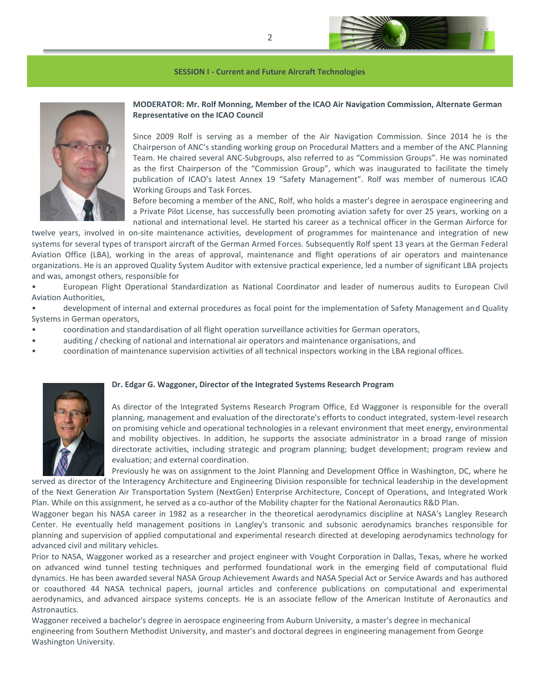



# **MODERATOR: Mr. Rolf Monning, Member of the ICAO Air Navigation Commission, Alternate German Representative on the ICAO Council**

Since 2009 Rolf is serving as a member of the Air Navigation Commission. Since 2014 he is the Chairperson of ANC's standing working group on Procedural Matters and a member of the ANC Planning Team. He chaired several ANC-Subgroups, also referred to as "Commission Groups". He was nominated as the first Chairperson of the "Commission Group", which was inaugurated to facilitate the timely publication of ICAO's latest Annex 19 "Safety Management". Rolf was member of numerous ICAO Working Groups and Task Forces.

Before becoming a member of the ANC, Rolf, who holds a master's degree in aerospace engineering and a Private Pilot License, has successfully been promoting aviation safety for over 25 years, working on a national and international level. He started his career as a technical officer in the German Airforce for

twelve years, involved in on-site maintenance activities, development of programmes for maintenance and integration of new systems for several types of transport aircraft of the German Armed Forces. Subsequently Rolf spent 13 years at the German Federal Aviation Office (LBA), working in the areas of approval, maintenance and flight operations of air operators and maintenance organizations. He is an approved Quality System Auditor with extensive practical experience, led a number of significant LBA projects and was, amongst others, responsible for

• European Flight Operational Standardization as National Coordinator and leader of numerous audits to European Civil Aviation Authorities,

• development of internal and external procedures as focal point for the implementation of Safety Management and Quality Systems in German operators,

- coordination and standardisation of all flight operation surveillance activities for German operators,
- auditing / checking of national and international air operators and maintenance organisations, and
- coordination of maintenance supervision activities of all technical inspectors working in the LBA regional offices.



#### **Dr. Edgar G. Waggoner, Director of the Integrated Systems Research Program**

As director of the Integrated Systems Research Program Office, Ed Waggoner is responsible for the overall planning, management and evaluation of the directorate's efforts to conduct integrated, system-level research on promising vehicle and operational technologies in a relevant environment that meet energy, environmental and mobility objectives. In addition, he supports the associate administrator in a broad range of mission directorate activities, including strategic and program planning; budget development; program review and evaluation; and external coordination.

Previously he was on assignment to the Joint Planning and Development Office in Washington, DC, where he served as director of the Interagency Architecture and Engineering Division responsible for technical leadership in the development of the Next Generation Air Transportation System (NextGen) Enterprise Architecture, Concept of Operations, and Integrated Work Plan. While on this assignment, he served as a co-author of the Mobility chapter for the National Aeronautics R&D Plan.

Waggoner began his NASA career in 1982 as a researcher in the theoretical aerodynamics discipline at NASA's Langley Research Center. He eventually held management positions in Langley's transonic and subsonic aerodynamics branches responsible for planning and supervision of applied computational and experimental research directed at developing aerodynamics technology for advanced civil and military vehicles.

Prior to NASA, Waggoner worked as a researcher and project engineer with Vought Corporation in Dallas, Texas, where he worked on advanced wind tunnel testing techniques and performed foundational work in the emerging field of computational fluid dynamics. He has been awarded several NASA Group Achievement Awards and NASA Special Act or Service Awards and has authored or coauthored 44 NASA technical papers, journal articles and conference publications on computational and experimental aerodynamics, and advanced airspace systems concepts. He is an associate fellow of the American Institute of Aeronautics and Astronautics.

Waggoner received a bachelor's degree in aerospace engineering from Auburn University, a master's degree in mechanical engineering from Southern Methodist University, and master's and doctoral degrees in engineering management from George Washington University.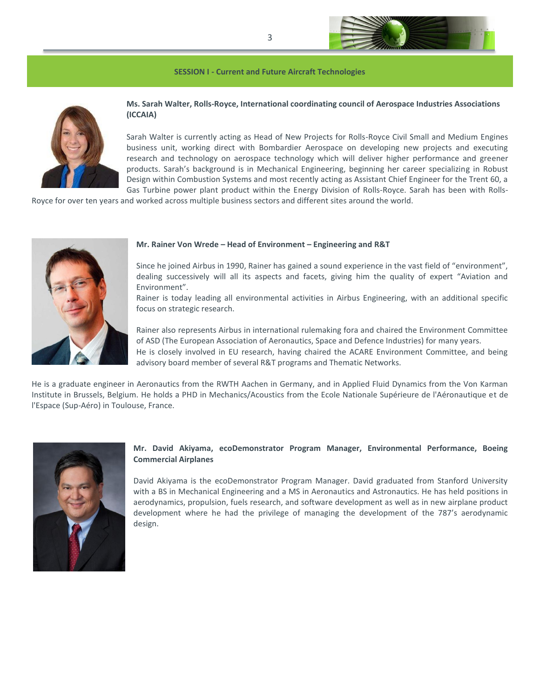

# **Ms. Sarah Walter, Rolls-Royce, International coordinating council of Aerospace Industries Associations (ICCAIA)**

Sarah Walter is currently acting as Head of New Projects for Rolls-Royce Civil Small and Medium Engines business unit, working direct with Bombardier Aerospace on developing new projects and executing research and technology on aerospace technology which will deliver higher performance and greener products. Sarah's background is in Mechanical Engineering, beginning her career specializing in Robust Design within Combustion Systems and most recently acting as Assistant Chief Engineer for the Trent 60, a Gas Turbine power plant product within the Energy Division of Rolls-Royce. Sarah has been with Rolls-

Royce for over ten years and worked across multiple business sectors and different sites around the world.



## **Mr. Rainer Von Wrede – Head of Environment – Engineering and R&T**

Since he joined Airbus in 1990, Rainer has gained a sound experience in the vast field of "environment", dealing successively will all its aspects and facets, giving him the quality of expert "Aviation and Environment".

Rainer is today leading all environmental activities in Airbus Engineering, with an additional specific focus on strategic research.

Rainer also represents Airbus in international rulemaking fora and chaired the Environment Committee of ASD (The European Association of Aeronautics, Space and Defence Industries) for many years.

He is closely involved in EU research, having chaired the ACARE Environment Committee, and being advisory board member of several R&T programs and Thematic Networks.

He is a graduate engineer in Aeronautics from the RWTH Aachen in Germany, and in Applied Fluid Dynamics from the Von Karman Institute in Brussels, Belgium. He holds a PHD in Mechanics/Acoustics from the Ecole Nationale Supérieure de l'Aéronautique et de l'Espace (Sup-Aéro) in Toulouse, France.



# **Mr. David Akiyama, ecoDemonstrator Program Manager, Environmental Performance, Boeing Commercial Airplanes**

David Akiyama is the ecoDemonstrator Program Manager. David graduated from Stanford University with a BS in Mechanical Engineering and a MS in Aeronautics and Astronautics. He has held positions in aerodynamics, propulsion, fuels research, and software development as well as in new airplane product development where he had the privilege of managing the development of the 787's aerodynamic design.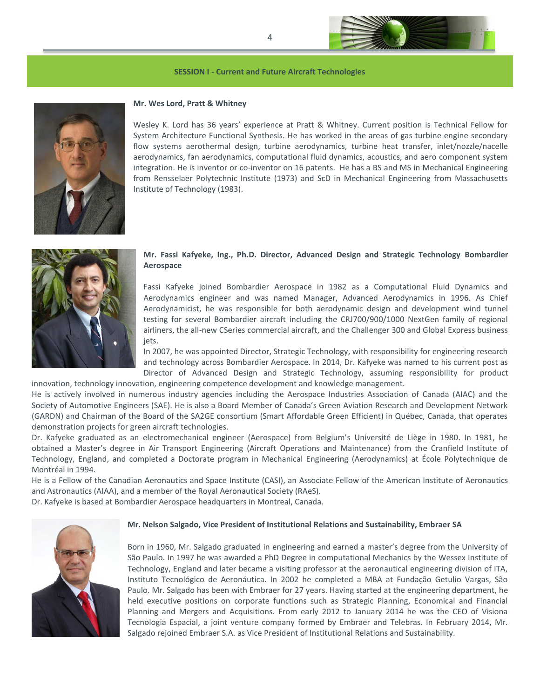



#### **Mr. Wes Lord, Pratt & Whitney**

Wesley K. Lord has 36 years' experience at Pratt & Whitney. Current position is Technical Fellow for System Architecture Functional Synthesis. He has worked in the areas of gas turbine engine secondary flow systems aerothermal design, turbine aerodynamics, turbine heat transfer, inlet/nozzle/nacelle aerodynamics, fan aerodynamics, computational fluid dynamics, acoustics, and aero component system integration. He is inventor or co-inventor on 16 patents. He has a BS and MS in Mechanical Engineering from Rensselaer Polytechnic Institute (1973) and ScD in Mechanical Engineering from Massachusetts Institute of Technology (1983).



## **Mr. Fassi Kafyeke, Ing., Ph.D. Director, Advanced Design and Strategic Technology Bombardier Aerospace**

Fassi Kafyeke joined Bombardier Aerospace in 1982 as a Computational Fluid Dynamics and Aerodynamics engineer and was named Manager, Advanced Aerodynamics in 1996. As Chief Aerodynamicist, he was responsible for both aerodynamic design and development wind tunnel testing for several Bombardier aircraft including the CRJ700/900/1000 NextGen family of regional airliners, the all-new CSeries commercial aircraft, and the Challenger 300 and Global Express business iets.

In 2007, he was appointed Director, Strategic Technology, with responsibility for engineering research and technology across Bombardier Aerospace. In 2014, Dr. Kafyeke was named to his current post as Director of Advanced Design and Strategic Technology, assuming responsibility for product

innovation, technology innovation, engineering competence development and knowledge management. He is actively involved in numerous industry agencies including the Aerospace Industries Association of Canada (AIAC) and the Society of Automotive Engineers (SAE). He is also a Board Member of Canada's Green Aviation Research and Development Network (GARDN) and Chairman of the Board of the SA2GE consortium (Smart Affordable Green Efficient) in Québec, Canada, that operates demonstration projects for green aircraft technologies.

Dr. Kafyeke graduated as an electromechanical engineer (Aerospace) from Belgium's Université de Liège in 1980. In 1981, he obtained a Master's degree in Air Transport Engineering (Aircraft Operations and Maintenance) from the Cranfield Institute of Technology, England, and completed a Doctorate program in Mechanical Engineering (Aerodynamics) at École Polytechnique de Montréal in 1994.

He is a Fellow of the Canadian Aeronautics and Space Institute (CASI), an Associate Fellow of the American Institute of Aeronautics and Astronautics (AIAA), and a member of the Royal Aeronautical Society (RAeS).

Dr. Kafyeke is based at Bombardier Aerospace headquarters in Montreal, Canada.



#### **Mr. Nelson Salgado, Vice President of Institutional Relations and Sustainability, Embraer SA**

Born in 1960, Mr. Salgado graduated in engineering and earned a master's degree from the University of São Paulo. In 1997 he was awarded a PhD Degree in computational Mechanics by the Wessex Institute of Technology, England and later became a visiting professor at the aeronautical engineering division of ITA, Instituto Tecnológico de Aeronáutica. In 2002 he completed a MBA at Fundação Getulio Vargas, São Paulo. Mr. Salgado has been with Embraer for 27 years. Having started at the engineering department, he held executive positions on corporate functions such as Strategic Planning, Economical and Financial Planning and Mergers and Acquisitions. From early 2012 to January 2014 he was the CEO of Visiona Tecnologia Espacial, a joint venture company formed by Embraer and Telebras. In February 2014, Mr. Salgado rejoined Embraer S.A. as Vice President of Institutional Relations and Sustainability.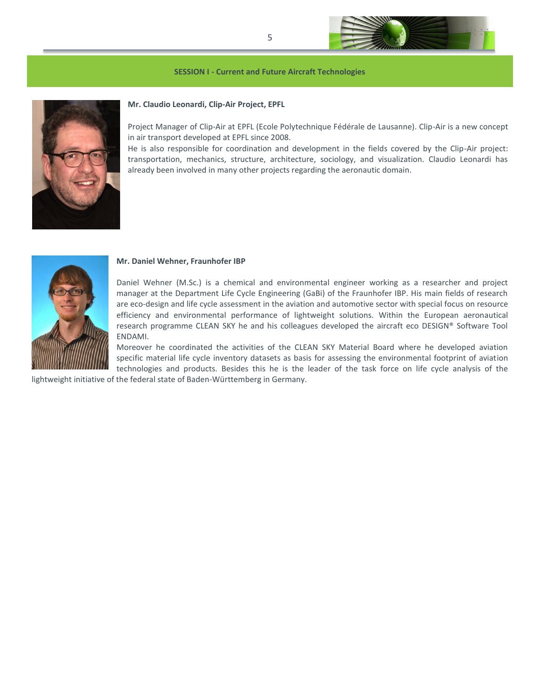



#### **Mr. Claudio Leonardi, Clip-Air Project, EPFL**

Project Manager of Clip-Air at EPFL (Ecole Polytechnique Fédérale de Lausanne). Clip-Air is a new concept in air transport developed at EPFL since 2008.

He is also responsible for coordination and development in the fields covered by the Clip-Air project: transportation, mechanics, structure, architecture, sociology, and visualization. Claudio Leonardi has already been involved in many other projects regarding the aeronautic domain.



#### **Mr. Daniel Wehner, Fraunhofer IBP**

Daniel Wehner (M.Sc.) is a chemical and environmental engineer working as a researcher and project manager at the Department Life Cycle Engineering (GaBi) of the Fraunhofer IBP. His main fields of research are eco-design and life cycle assessment in the aviation and automotive sector with special focus on resource efficiency and environmental performance of lightweight solutions. Within the European aeronautical research programme CLEAN SKY he and his colleagues developed the aircraft eco DESIGN® Software Tool ENDAMI.

Moreover he coordinated the activities of the CLEAN SKY Material Board where he developed aviation specific material life cycle inventory datasets as basis for assessing the environmental footprint of aviation technologies and products. Besides this he is the leader of the task force on life cycle analysis of the

lightweight initiative of the federal state of Baden-Württemberg in Germany.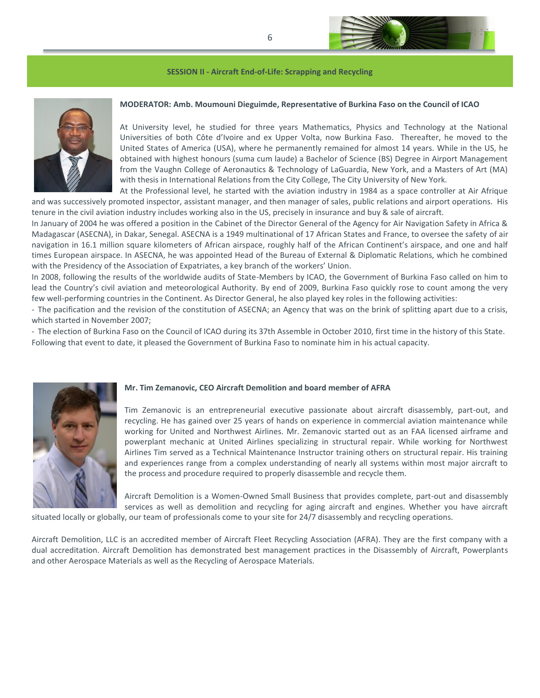

#### **SESSION II - Aircraft End-of-Life: Scrapping and Recycling**



# **MODERATOR: Amb. Moumouni Dieguimde, Representative of Burkina Faso on the Council of ICAO**

At University level, he studied for three years Mathematics, Physics and Technology at the National Universities of both Côte d'Ivoire and ex Upper Volta, now Burkina Faso. Thereafter, he moved to the United States of America (USA), where he permanently remained for almost 14 years. While in the US, he obtained with highest honours (suma cum laude) a Bachelor of Science (BS) Degree in Airport Management from the Vaughn College of Aeronautics & Technology of LaGuardia, New York, and a Masters of Art (MA) with thesis in International Relations from the City College, The City University of New York.

At the Professional level, he started with the aviation industry in 1984 as a space controller at Air Afrique and was successively promoted inspector, assistant manager, and then manager of sales, public relations and airport operations. His tenure in the civil aviation industry includes working also in the US, precisely in insurance and buy & sale of aircraft.

In January of 2004 he was offered a position in the Cabinet of the Director General of the Agency for Air Navigation Safety in Africa & Madagascar (ASECNA), in Dakar, Senegal. ASECNA is a 1949 multinational of 17 African States and France, to oversee the safety of air navigation in 16.1 million square kilometers of African airspace, roughly half of the African Continent's airspace, and one and half times European airspace. In ASECNA, he was appointed Head of the Bureau of External & Diplomatic Relations, which he combined with the Presidency of the Association of Expatriates, a key branch of the workers' Union.

In 2008, following the results of the worldwide audits of State-Members by ICAO, the Government of Burkina Faso called on him to lead the Country's civil aviation and meteorological Authority. By end of 2009, Burkina Faso quickly rose to count among the very few well-performing countries in the Continent. As Director General, he also played key roles in the following activities:

- The pacification and the revision of the constitution of ASECNA; an Agency that was on the brink of splitting apart due to a crisis, which started in November 2007;

- The election of Burkina Faso on the Council of ICAO during its 37th Assemble in October 2010, first time in the history of this State. Following that event to date, it pleased the Government of Burkina Faso to nominate him in his actual capacity.



## **Mr. Tim Zemanovic, CEO Aircraft Demolition and board member of AFRA**

Tim Zemanovic is an entrepreneurial executive passionate about aircraft disassembly, part-out, and recycling. He has gained over 25 years of hands on experience in commercial aviation maintenance while working for United and Northwest Airlines. Mr. Zemanovic started out as an FAA licensed airframe and powerplant mechanic at United Airlines specializing in structural repair. While working for Northwest Airlines Tim served as a Technical Maintenance Instructor training others on structural repair. His training and experiences range from a complex understanding of nearly all systems within most major aircraft to the process and procedure required to properly disassemble and recycle them.

Aircraft Demolition is a Women-Owned Small Business that provides complete, part-out and disassembly services as well as demolition and recycling for aging aircraft and engines. Whether you have aircraft situated locally or globally, our team of professionals come to your site for 24/7 disassembly and recycling operations.

Aircraft Demolition, LLC is an accredited member of Aircraft Fleet Recycling Association (AFRA). They are the first company with a dual accreditation. Aircraft Demolition has demonstrated best management practices in the Disassembly of Aircraft, Powerplants and other Aerospace Materials as well as the Recycling of Aerospace Materials.

6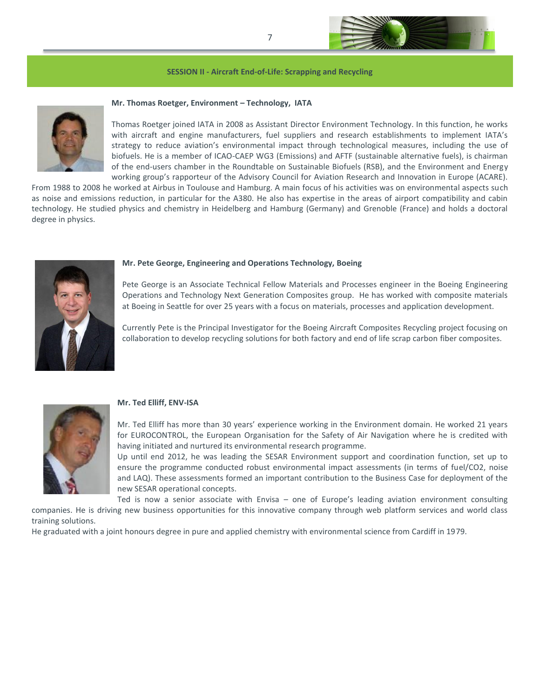

#### **SESSION II - Aircraft End-of-Life: Scrapping and Recycling**



## **Mr. Thomas Roetger, Environment – Technology, IATA**

Thomas Roetger joined IATA in 2008 as Assistant Director Environment Technology. In this function, he works with aircraft and engine manufacturers, fuel suppliers and research establishments to implement IATA's strategy to reduce aviation's environmental impact through technological measures, including the use of biofuels. He is a member of ICAO-CAEP WG3 (Emissions) and AFTF (sustainable alternative fuels), is chairman of the end-users chamber in the Roundtable on Sustainable Biofuels (RSB), and the Environment and Energy working group's rapporteur of the Advisory Council for Aviation Research and Innovation in Europe (ACARE).

From 1988 to 2008 he worked at Airbus in Toulouse and Hamburg. A main focus of his activities was on environmental aspects such as noise and emissions reduction, in particular for the A380. He also has expertise in the areas of airport compatibility and cabin technology. He studied physics and chemistry in Heidelberg and Hamburg (Germany) and Grenoble (France) and holds a doctoral degree in physics.



#### **Mr. Pete George, Engineering and Operations Technology, Boeing**

Pete George is an Associate Technical Fellow Materials and Processes engineer in the Boeing Engineering Operations and Technology Next Generation Composites group. He has worked with composite materials at Boeing in Seattle for over 25 years with a focus on materials, processes and application development.

Currently Pete is the Principal Investigator for the Boeing Aircraft Composites Recycling project focusing on collaboration to develop recycling solutions for both factory and end of life scrap carbon fiber composites.



# **Mr. Ted Elliff, ENV-ISA**

Mr. Ted Elliff has more than 30 years' experience working in the Environment domain. He worked 21 years for EUROCONTROL, the European Organisation for the Safety of Air Navigation where he is credited with having initiated and nurtured its environmental research programme.

Up until end 2012, he was leading the SESAR Environment support and coordination function, set up to ensure the programme conducted robust environmental impact assessments (in terms of fuel/CO2, noise and LAQ). These assessments formed an important contribution to the Business Case for deployment of the new SESAR operational concepts.

Ted is now a senior associate with Envisa – one of Europe's leading aviation environment consulting companies. He is driving new business opportunities for this innovative company through web platform services and world class training solutions.

He graduated with a joint honours degree in pure and applied chemistry with environmental science from Cardiff in 1979.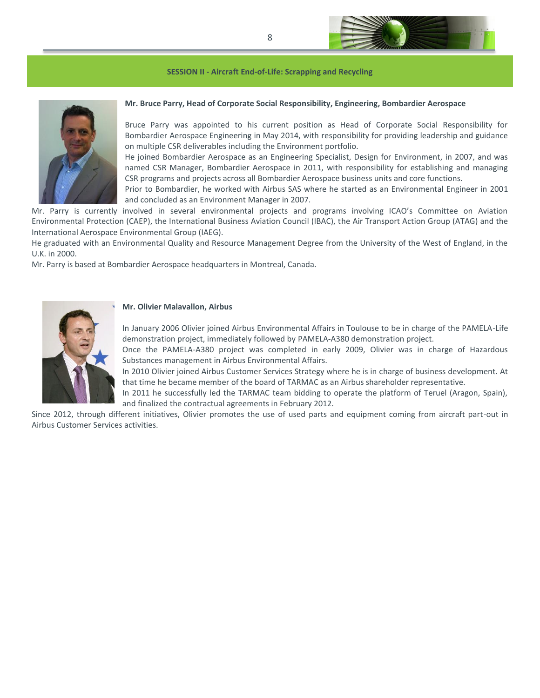

#### **SESSION II - Aircraft End-of-Life: Scrapping and Recycling**



# **Mr. Bruce Parry, Head of Corporate Social Responsibility, Engineering, Bombardier Aerospace**

Bruce Parry was appointed to his current position as Head of Corporate Social Responsibility for Bombardier Aerospace Engineering in May 2014, with responsibility for providing leadership and guidance on multiple CSR deliverables including the Environment portfolio.

He joined Bombardier Aerospace as an Engineering Specialist, Design for Environment, in 2007, and was named CSR Manager, Bombardier Aerospace in 2011, with responsibility for establishing and managing CSR programs and projects across all Bombardier Aerospace business units and core functions.

Prior to Bombardier, he worked with Airbus SAS where he started as an Environmental Engineer in 2001 and concluded as an Environment Manager in 2007.

Mr. Parry is currently involved in several environmental projects and programs involving ICAO's Committee on Aviation Environmental Protection (CAEP), the International Business Aviation Council (IBAC), the Air Transport Action Group (ATAG) and the International Aerospace Environmental Group (IAEG).

He graduated with an Environmental Quality and Resource Management Degree from the University of the West of England, in the U.K. in 2000.

Mr. Parry is based at Bombardier Aerospace headquarters in Montreal, Canada.



#### **Mr. Olivier Malavallon, Airbus**

In January 2006 Olivier joined Airbus Environmental Affairs in Toulouse to be in charge of the PAMELA-Life demonstration project, immediately followed by PAMELA-A380 demonstration project.

Once the PAMELA-A380 project was completed in early 2009, Olivier was in charge of Hazardous Substances management in Airbus Environmental Affairs.

In 2010 Olivier joined Airbus Customer Services Strategy where he is in charge of business development. At that time he became member of the board of TARMAC as an Airbus shareholder representative.

In 2011 he successfully led the TARMAC team bidding to operate the platform of Teruel (Aragon, Spain), and finalized the contractual agreements in February 2012.

Since 2012, through different initiatives, Olivier promotes the use of used parts and equipment coming from aircraft part-out in Airbus Customer Services activities.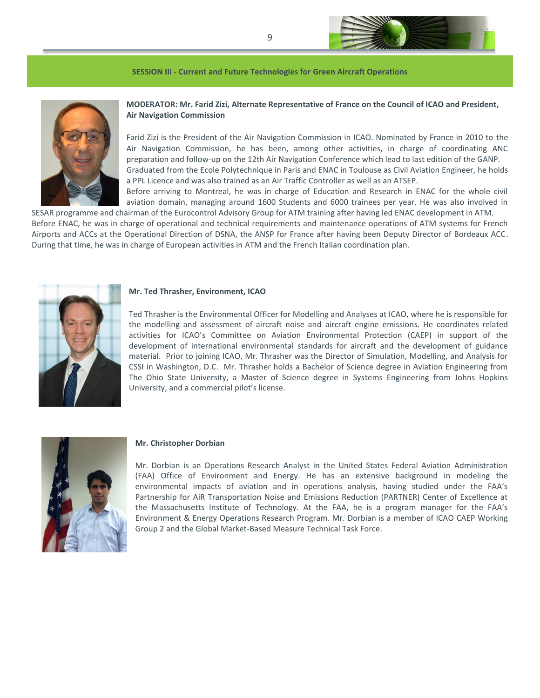

#### **SESSION III - Current and Future Technologies for Green Aircraft Operations**



**MODERATOR: Mr. Farid Zizi, Alternate Representative of France on the Council of ICAO and President, Air Navigation Commission**

Farid Zizi is the President of the Air Navigation Commission in ICAO. Nominated by France in 2010 to the Air Navigation Commission, he has been, among other activities, in charge of coordinating ANC preparation and follow-up on the 12th Air Navigation Conference which lead to last edition of the GANP. Graduated from the Ecole Polytechnique in Paris and ENAC in Toulouse as Civil Aviation Engineer, he holds a PPL Licence and was also trained as an Air Traffic Controller as well as an ATSEP. Before arriving to Montreal, he was in charge of Education and Research in ENAC for the whole civil

aviation domain, managing around 1600 Students and 6000 trainees per year. He was also involved in SESAR programme and chairman of the Eurocontrol Advisory Group for ATM training after having led ENAC development in ATM.

Before ENAC, he was in charge of operational and technical requirements and maintenance operations of ATM systems for French Airports and ACCs at the Operational Direction of DSNA, the ANSP for France after having been Deputy Director of Bordeaux ACC. During that time, he was in charge of European activities in ATM and the French Italian coordination plan.



## **Mr. Ted Thrasher, Environment, ICAO**

Ted Thrasher is the Environmental Officer for Modelling and Analyses at ICAO, where he is responsible for the modelling and assessment of aircraft noise and aircraft engine emissions. He coordinates related activities for ICAO's Committee on Aviation Environmental Protection (CAEP) in support of the development of international environmental standards for aircraft and the development of guidance material. Prior to joining ICAO, Mr. Thrasher was the Director of Simulation, Modelling, and Analysis for CSSI in Washington, D.C. Mr. Thrasher holds a Bachelor of Science degree in Aviation Engineering from The Ohio State University, a Master of Science degree in Systems Engineering from Johns Hopkins University, and a commercial pilot's license.



#### **Mr. Christopher Dorbian**

Mr. Dorbian is an Operations Research Analyst in the United States Federal Aviation Administration (FAA) Office of Environment and Energy. He has an extensive background in modeling the environmental impacts of aviation and in operations analysis, having studied under the FAA's Partnership for AiR Transportation Noise and Emissions Reduction (PARTNER) Center of Excellence at the Massachusetts Institute of Technology. At the FAA, he is a program manager for the FAA's Environment & Energy Operations Research Program. Mr. Dorbian is a member of ICAO CAEP Working Group 2 and the Global Market-Based Measure Technical Task Force.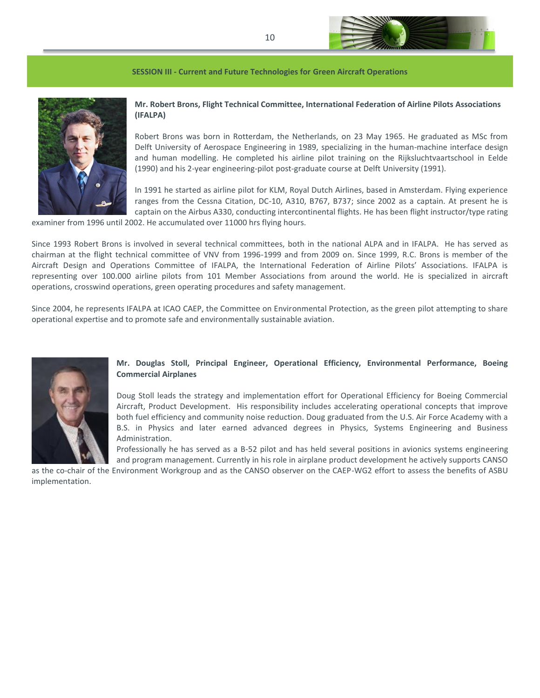

#### **SESSION III - Current and Future Technologies for Green Aircraft Operations**



# **Mr. Robert Brons, Flight Technical Committee, International Federation of Airline Pilots Associations (IFALPA)**

Robert Brons was born in Rotterdam, the Netherlands, on 23 May 1965. He graduated as MSc from Delft University of Aerospace Engineering in 1989, specializing in the human-machine interface design and human modelling. He completed his airline pilot training on the Rijksluchtvaartschool in Eelde (1990) and his 2-year engineering-pilot post-graduate course at Delft University (1991).

In 1991 he started as airline pilot for KLM, Royal Dutch Airlines, based in Amsterdam. Flying experience ranges from the Cessna Citation, DC-10, A310, B767, B737; since 2002 as a captain. At present he is captain on the Airbus A330, conducting intercontinental flights. He has been flight instructor/type rating

examiner from 1996 until 2002. He accumulated over 11000 hrs flying hours.

Since 1993 Robert Brons is involved in several technical committees, both in the national ALPA and in IFALPA. He has served as chairman at the flight technical committee of VNV from 1996-1999 and from 2009 on. Since 1999, R.C. Brons is member of the Aircraft Design and Operations Committee of IFALPA, the International Federation of Airline Pilots' Associations. IFALPA is representing over 100.000 airline pilots from 101 Member Associations from around the world. He is specialized in aircraft operations, crosswind operations, green operating procedures and safety management.

Since 2004, he represents IFALPA at ICAO CAEP, the Committee on Environmental Protection, as the green pilot attempting to share operational expertise and to promote safe and environmentally sustainable aviation.



# **Mr. Douglas Stoll, Principal Engineer, Operational Efficiency, Environmental Performance, Boeing Commercial Airplanes**

Doug Stoll leads the strategy and implementation effort for Operational Efficiency for Boeing Commercial Aircraft, Product Development. His responsibility includes accelerating operational concepts that improve both fuel efficiency and community noise reduction. Doug graduated from the U.S. Air Force Academy with a B.S. in Physics and later earned advanced degrees in Physics, Systems Engineering and Business Administration.

Professionally he has served as a B-52 pilot and has held several positions in avionics systems engineering and program management. Currently in his role in airplane product development he actively supports CANSO

as the co-chair of the Environment Workgroup and as the CANSO observer on the CAEP-WG2 effort to assess the benefits of ASBU implementation.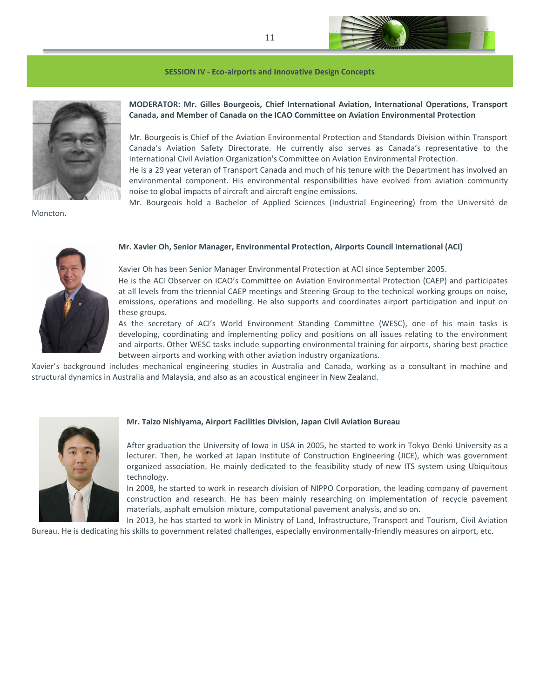

#### **SESSION IV - Eco-airports and Innovative Design Concepts**



Moncton.

# **MODERATOR: Mr. Gilles Bourgeois, Chief International Aviation, International Operations, Transport Canada, and Member of Canada on the ICAO Committee on Aviation Environmental Protection**

Mr. Bourgeois is Chief of the Aviation Environmental Protection and Standards Division within Transport Canada's Aviation Safety Directorate. He currently also serves as Canada's representative to the International Civil Aviation Organization's Committee on Aviation Environmental Protection.

He is a 29 year veteran of Transport Canada and much of his tenure with the Department has involved an environmental component. His environmental responsibilities have evolved from aviation community noise to global impacts of aircraft and aircraft engine emissions.

Mr. Bourgeois hold a Bachelor of Applied Sciences (Industrial Engineering) from the Université de



#### **Mr. Xavier Oh, Senior Manager, Environmental Protection, Airports Council International (ACI)**

Xavier Oh has been Senior Manager Environmental Protection at ACI since September 2005. He is the ACI Observer on ICAO's Committee on Aviation Environmental Protection (CAEP) and participates at all levels from the triennial CAEP meetings and Steering Group to the technical working groups on noise, emissions, operations and modelling. He also supports and coordinates airport participation and input on these groups.

As the secretary of ACI's World Environment Standing Committee (WESC), one of his main tasks is developing, coordinating and implementing policy and positions on all issues relating to the environment and airports. Other WESC tasks include supporting environmental training for airports, sharing best practice between airports and working with other aviation industry organizations.

Xavier's background includes mechanical engineering studies in Australia and Canada, working as a consultant in machine and structural dynamics in Australia and Malaysia, and also as an acoustical engineer in New Zealand.



## **Mr. Taizo Nishiyama, Airport Facilities Division, Japan Civil Aviation Bureau**

After graduation the University of Iowa in USA in 2005, he started to work in Tokyo Denki University as a lecturer. Then, he worked at Japan Institute of Construction Engineering (JICE), which was government organized association. He mainly dedicated to the feasibility study of new ITS system using Ubiquitous technology.

In 2008, he started to work in research division of NIPPO Corporation, the leading company of pavement construction and research. He has been mainly researching on implementation of recycle pavement materials, asphalt emulsion mixture, computational pavement analysis, and so on.

In 2013, he has started to work in Ministry of Land, Infrastructure, Transport and Tourism, Civil Aviation Bureau. He is dedicating his skills to government related challenges, especially environmentally-friendly measures on airport, etc.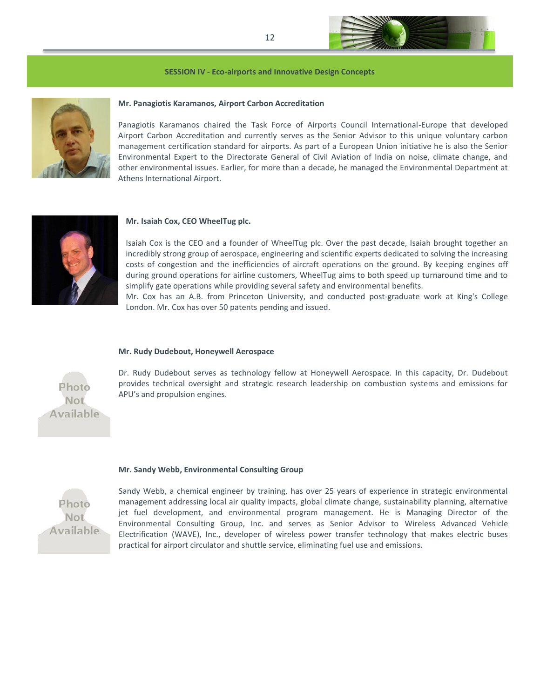

#### **SESSION IV - Eco-airports and Innovative Design Concepts**



## **Mr. Panagiotis Karamanos, Airport Carbon Accreditation**

Panagiotis Karamanos chaired the Task Force of Airports Council International-Europe that developed Airport Carbon Accreditation and currently serves as the Senior Advisor to this unique voluntary carbon management certification standard for airports. As part of a European Union initiative he is also the Senior Environmental Expert to the Directorate General of Civil Aviation of India on noise, climate change, and other environmental issues. Earlier, for more than a decade, he managed the Environmental Department at Athens International Airport.



## **Mr. Isaiah Cox, CEO WheelTug plc.**

Isaiah Cox is the CEO and a founder of WheelTug plc. Over the past decade, Isaiah brought together an incredibly strong group of aerospace, engineering and scientific experts dedicated to solving the increasing costs of congestion and the inefficiencies of aircraft operations on the ground. By keeping engines off during ground operations for airline customers, WheelTug aims to both speed up turnaround time and to simplify gate operations while providing several safety and environmental benefits.

Mr. Cox has an A.B. from Princeton University, and conducted post-graduate work at King's College London. Mr. Cox has over 50 patents pending and issued.

#### **Mr. Rudy Dudebout, Honeywell Aerospace**

Dr. Rudy Dudebout serves as technology fellow at Honeywell Aerospace. In this capacity, Dr. Dudebout provides technical oversight and strategic research leadership on combustion systems and emissions for APU's and propulsion engines.

# Available

Photo Not.

#### **Mr. Sandy Webb, Environmental Consulting Group**



Sandy Webb, a chemical engineer by training, has over 25 years of experience in strategic environmental management addressing local air quality impacts, global climate change, sustainability planning, alternative jet fuel development, and environmental program management. He is Managing Director of the Environmental Consulting Group, Inc. and serves as Senior Advisor to Wireless Advanced Vehicle Electrification (WAVE), Inc., developer of wireless power transfer technology that makes electric buses practical for airport circulator and shuttle service, eliminating fuel use and emissions.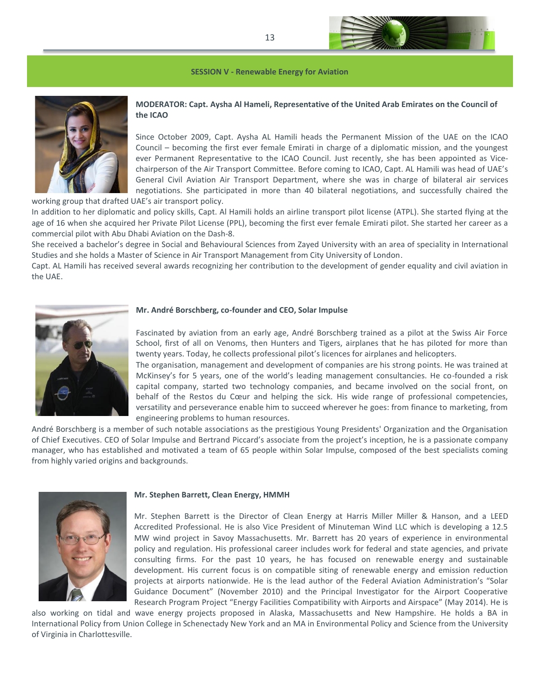

**SESSION V - Renewable Energy for Aviation**



# **MODERATOR: Capt. Aysha Al Hameli, Representative of the United Arab Emirates on the Council of the ICAO**

Since October 2009, Capt. Aysha AL Hamili heads the Permanent Mission of the UAE on the ICAO Council – becoming the first ever female Emirati in charge of a diplomatic mission, and the youngest ever Permanent Representative to the ICAO Council. Just recently, she has been appointed as Vicechairperson of the Air Transport Committee. Before coming to ICAO, Capt. AL Hamili was head of UAE's General Civil Aviation Air Transport Department, where she was in charge of bilateral air services negotiations. She participated in more than 40 bilateral negotiations, and successfully chaired the working group that drafted UAE's air transport policy.

In addition to her diplomatic and policy skills, Capt. Al Hamili holds an airline transport pilot license (ATPL). She started flying at the age of 16 when she acquired her Private Pilot License (PPL), becoming the first ever female Emirati pilot. She started her career as a commercial pilot with Abu Dhabi Aviation on the Dash‐8.

She received a bachelor's degree in Social and Behavioural Sciences from Zayed University with an area of speciality in International Studies and she holds a Master of Science in Air Transport Management from City University of London.

Capt. AL Hamili has received several awards recognizing her contribution to the development of gender equality and civil aviation in the UAE.



#### **Mr. André Borschberg, co-founder and CEO, Solar Impulse**

Fascinated by aviation from an early age, André Borschberg trained as a pilot at the Swiss Air Force School, first of all on Venoms, then Hunters and Tigers, airplanes that he has piloted for more than twenty years. Today, he collects professional pilot's licences for airplanes and helicopters.

The organisation, management and development of companies are his strong points. He was trained at McKinsey's for 5 years, one of the world's leading management consultancies. He co-founded a risk capital company, started two technology companies, and became involved on the social front, on behalf of the Restos du Cœur and helping the sick. His wide range of professional competencies, versatility and perseverance enable him to succeed wherever he goes: from finance to marketing, from engineering problems to human resources.

André Borschberg is a member of such notable associations as the prestigious Young Presidents' Organization and the Organisation of Chief Executives. CEO of Solar Impulse and Bertrand Piccard's associate from the project's inception, he is a passionate company manager, who has established and motivated a team of 65 people within Solar Impulse, composed of the best specialists coming from highly varied origins and backgrounds.



#### **Mr. Stephen Barrett, Clean Energy, HMMH**

Mr. Stephen Barrett is the Director of Clean Energy at Harris Miller Miller & Hanson, and a LEED Accredited Professional. He is also Vice President of Minuteman Wind LLC which is developing a 12.5 MW wind project in Savoy Massachusetts. Mr. Barrett has 20 years of experience in environmental policy and regulation. His professional career includes work for federal and state agencies, and private consulting firms. For the past 10 years, he has focused on renewable energy and sustainable development. His current focus is on compatible siting of renewable energy and emission reduction projects at airports nationwide. He is the lead author of the Federal Aviation Administration's "Solar Guidance Document" (November 2010) and the Principal Investigator for the Airport Cooperative Research Program Project "Energy Facilities Compatibility with Airports and Airspace" (May 2014). He is

also working on tidal and wave energy projects proposed in Alaska, Massachusetts and New Hampshire. He holds a BA in International Policy from Union College in Schenectady New York and an MA in Environmental Policy and Science from the University of Virginia in Charlottesville.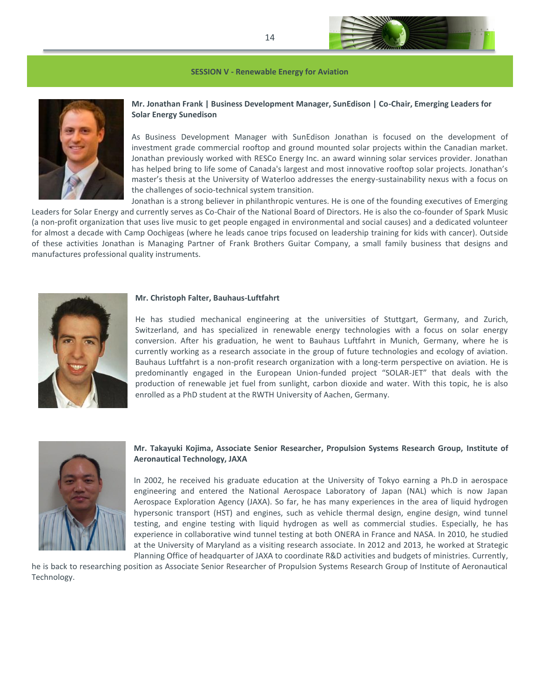

**SESSION V - Renewable Energy for Aviation**



# **Mr. Jonathan Frank | Business Development Manager, SunEdison | Co-Chair, Emerging Leaders for Solar Energy Sunedison**

As Business Development Manager with SunEdison Jonathan is focused on the development of investment grade commercial rooftop and ground mounted solar projects within the Canadian market. Jonathan previously worked with RESCo Energy Inc. an award winning solar services provider. Jonathan has helped bring to life some of Canada's largest and most innovative rooftop solar projects. Jonathan's master's thesis at the University of Waterloo addresses the energy-sustainability nexus with a focus on the challenges of socio-technical system transition.

Jonathan is a strong believer in philanthropic ventures. He is one of the founding executives of Emerging Leaders for Solar Energy and currently serves as Co-Chair of the National Board of Directors. He is also the co-founder of Spark Music (a non-profit organization that uses live music to get people engaged in environmental and social causes) and a dedicated volunteer for almost a decade with Camp Oochigeas (where he leads canoe trips focused on leadership training for kids with cancer). Outside of these activities Jonathan is Managing Partner of Frank Brothers Guitar Company, a small family business that designs and manufactures professional quality instruments.



#### **Mr. Christoph Falter, Bauhaus-Luftfahrt**

He has studied mechanical engineering at the universities of Stuttgart, Germany, and Zurich, Switzerland, and has specialized in renewable energy technologies with a focus on solar energy conversion. After his graduation, he went to Bauhaus Luftfahrt in Munich, Germany, where he is currently working as a research associate in the group of future technologies and ecology of aviation. Bauhaus Luftfahrt is a non-profit research organization with a long-term perspective on aviation. He is predominantly engaged in the European Union-funded project "SOLAR-JET" that deals with the production of renewable jet fuel from sunlight, carbon dioxide and water. With this topic, he is also enrolled as a PhD student at the RWTH University of Aachen, Germany.



# **Mr. Takayuki Kojima, Associate Senior Researcher, Propulsion Systems Research Group, Institute of Aeronautical Technology, JAXA**

In 2002, he received his graduate education at the University of Tokyo earning a Ph.D in aerospace engineering and entered the National Aerospace Laboratory of Japan (NAL) which is now Japan Aerospace Exploration Agency (JAXA). So far, he has many experiences in the area of liquid hydrogen hypersonic transport (HST) and engines, such as vehicle thermal design, engine design, wind tunnel testing, and engine testing with liquid hydrogen as well as commercial studies. Especially, he has experience in collaborative wind tunnel testing at both ONERA in France and NASA. In 2010, he studied at the University of Maryland as a visiting research associate. In 2012 and 2013, he worked at Strategic Planning Office of headquarter of JAXA to coordinate R&D activities and budgets of ministries. Currently,

he is back to researching position as Associate Senior Researcher of Propulsion Systems Research Group of Institute of Aeronautical Technology.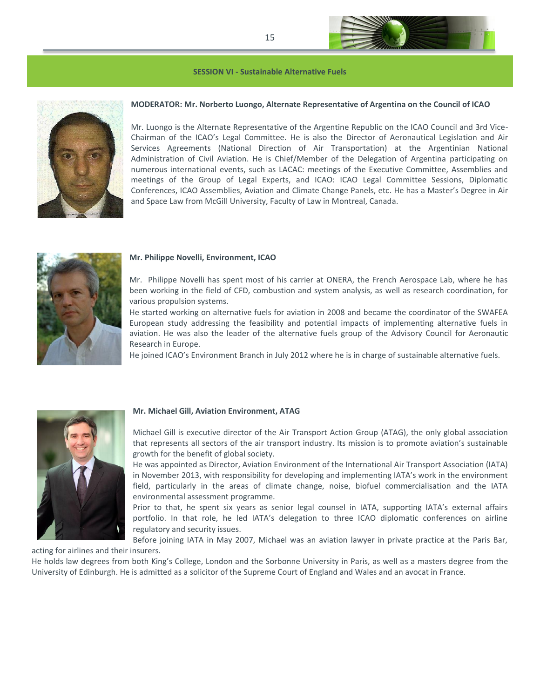#### **SESSION VI - Sustainable Alternative Fuels**



#### **MODERATOR: Mr. Norberto Luongo, Alternate Representative of Argentina on the Council of ICAO**

Mr. Luongo is the Alternate Representative of the Argentine Republic on the ICAO Council and 3rd Vice-Chairman of the ICAO's Legal Committee. He is also the Director of Aeronautical Legislation and Air Services Agreements (National Direction of Air Transportation) at the Argentinian National Administration of Civil Aviation. He is Chief/Member of the Delegation of Argentina participating on numerous international events, such as LACAC: meetings of the Executive Committee, Assemblies and meetings of the Group of Legal Experts, and ICAO: ICAO Legal Committee Sessions, Diplomatic Conferences, ICAO Assemblies, Aviation and Climate Change Panels, etc. He has a Master's Degree in Air and Space Law from McGill University, Faculty of Law in Montreal, Canada.



#### **Mr. Philippe Novelli, Environment, ICAO**

Mr. Philippe Novelli has spent most of his carrier at ONERA, the French Aerospace Lab, where he has been working in the field of CFD, combustion and system analysis, as well as research coordination, for various propulsion systems.

He started working on alternative fuels for aviation in 2008 and became the coordinator of the SWAFEA European study addressing the feasibility and potential impacts of implementing alternative fuels in aviation. He was also the leader of the alternative fuels group of the Advisory Council for Aeronautic Research in Europe.

He joined ICAO's Environment Branch in July 2012 where he is in charge of sustainable alternative fuels.



#### **Mr. Michael Gill, Aviation Environment, ATAG**

Michael Gill is executive director of the Air Transport Action Group (ATAG), the only global association that represents all sectors of the air transport industry. Its mission is to promote aviation's sustainable growth for the benefit of global society.

He was appointed as Director, Aviation Environment of the International Air Transport Association (IATA) in November 2013, with responsibility for developing and implementing IATA's work in the environment field, particularly in the areas of climate change, noise, biofuel commercialisation and the IATA environmental assessment programme.

Prior to that, he spent six years as senior legal counsel in IATA, supporting IATA's external affairs portfolio. In that role, he led IATA's delegation to three ICAO diplomatic conferences on airline regulatory and security issues.

Before joining IATA in May 2007, Michael was an aviation lawyer in private practice at the Paris Bar, acting for airlines and their insurers.

He holds law degrees from both King's College, London and the Sorbonne University in Paris, as well as a masters degree from the University of Edinburgh. He is admitted as a solicitor of the Supreme Court of England and Wales and an avocat in France.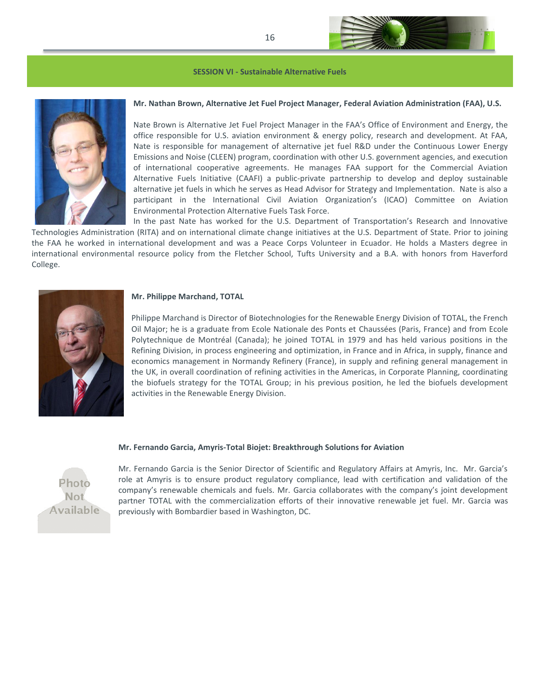

#### **SESSION VI - Sustainable Alternative Fuels**



# **Mr. Nathan Brown, Alternative Jet Fuel Project Manager, Federal Aviation Administration (FAA), U.S.**

Nate Brown is Alternative Jet Fuel Project Manager in the FAA's Office of Environment and Energy, the office responsible for U.S. aviation environment & energy policy, research and development. At FAA, Nate is responsible for management of alternative jet fuel R&D under the Continuous Lower Energy Emissions and Noise (CLEEN) program, coordination with other U.S. government agencies, and execution of international cooperative agreements. He manages FAA support for the Commercial Aviation Alternative Fuels Initiative (CAAFI) a public-private partnership to develop and deploy sustainable alternative jet fuels in which he serves as Head Advisor for Strategy and Implementation. Nate is also a participant in the International Civil Aviation Organization's (ICAO) Committee on Aviation Environmental Protection Alternative Fuels Task Force.

In the past Nate has worked for the U.S. Department of Transportation's Research and Innovative Technologies Administration (RITA) and on international climate change initiatives at the U.S. Department of State. Prior to joining the FAA he worked in international development and was a Peace Corps Volunteer in Ecuador. He holds a Masters degree in international environmental resource policy from the Fletcher School, Tufts University and a B.A. with honors from Haverford College.



#### **Mr. Philippe Marchand, TOTAL**

Philippe Marchand is Director of Biotechnologies for the Renewable Energy Division of TOTAL, the French Oil Major; he is a graduate from Ecole Nationale des Ponts et Chaussées (Paris, France) and from Ecole Polytechnique de Montréal (Canada); he joined TOTAL in 1979 and has held various positions in the Refining Division, in process engineering and optimization, in France and in Africa, in supply, finance and economics management in Normandy Refinery (France), in supply and refining general management in the UK, in overall coordination of refining activities in the Americas, in Corporate Planning, coordinating the biofuels strategy for the TOTAL Group; in his previous position, he led the biofuels development activities in the Renewable Energy Division.

#### **Mr. Fernando Garcia, Amyris-Total Biojet: Breakthrough Solutions for Aviation**



Mr. Fernando Garcia is the Senior Director of Scientific and Regulatory Affairs at Amyris, Inc. Mr. Garcia's role at Amyris is to ensure product regulatory compliance, lead with certification and validation of the company's renewable chemicals and fuels. Mr. Garcia collaborates with the company's joint development partner TOTAL with the commercialization efforts of their innovative renewable jet fuel. Mr. Garcia was previously with Bombardier based in Washington, DC.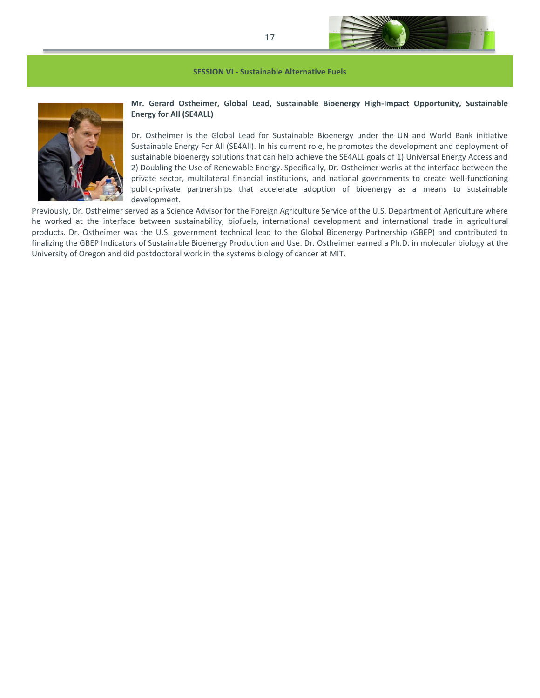

**SESSION VI - Sustainable Alternative Fuels**



# **Mr. Gerard Ostheimer, Global Lead, Sustainable Bioenergy High-Impact Opportunity, Sustainable Energy for All (SE4ALL)**

Dr. Ostheimer is the Global Lead for Sustainable Bioenergy under the UN and World Bank initiative Sustainable Energy For All (SE4All). In his current role, he promotes the development and deployment of sustainable bioenergy solutions that can help achieve the SE4ALL goals of 1) Universal Energy Access and 2) Doubling the Use of Renewable Energy. Specifically, Dr. Ostheimer works at the interface between the private sector, multilateral financial institutions, and national governments to create well-functioning public-private partnerships that accelerate adoption of bioenergy as a means to sustainable development.

Previously, Dr. Ostheimer served as a Science Advisor for the Foreign Agriculture Service of the U.S. Department of Agriculture where he worked at the interface between sustainability, biofuels, international development and international trade in agricultural products. Dr. Ostheimer was the U.S. government technical lead to the Global Bioenergy Partnership (GBEP) and contributed to finalizing the GBEP Indicators of Sustainable Bioenergy Production and Use. Dr. Ostheimer earned a Ph.D. in molecular biology at the University of Oregon and did postdoctoral work in the systems biology of cancer at MIT.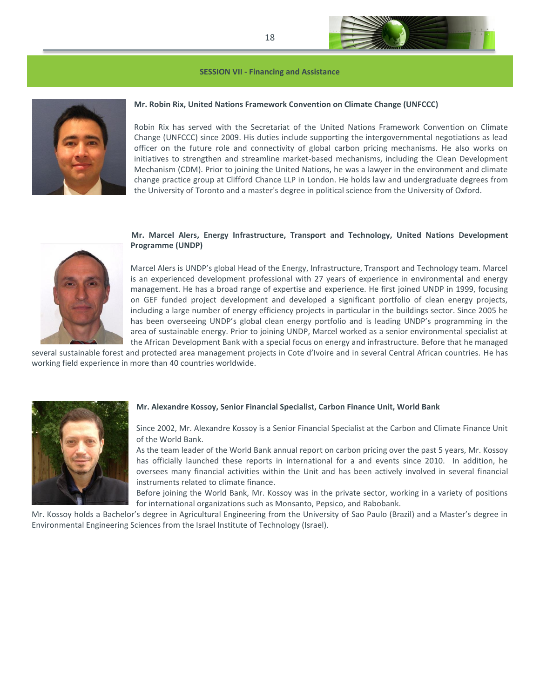#### **SESSION VII - Financing and Assistance**



## **Mr. Robin Rix, United Nations Framework Convention on Climate Change (UNFCCC)**

Robin Rix has served with the Secretariat of the United Nations Framework Convention on Climate Change (UNFCCC) since 2009. His duties include supporting the intergovernmental negotiations as lead officer on the future role and connectivity of global carbon pricing mechanisms. He also works on initiatives to strengthen and streamline market-based mechanisms, including the Clean Development Mechanism (CDM). Prior to joining the United Nations, he was a lawyer in the environment and climate change practice group at Clifford Chance LLP in London. He holds law and undergraduate degrees from the University of Toronto and a master's degree in political science from the University of Oxford.



# **Mr. Marcel Alers, Energy Infrastructure, Transport and Technology, United Nations Development Programme (UNDP)**

Marcel Alers is UNDP's global Head of the Energy, Infrastructure, Transport and Technology team. Marcel is an experienced development professional with 27 years of experience in environmental and energy management. He has a broad range of expertise and experience. He first joined UNDP in 1999, focusing on GEF funded project development and developed a significant portfolio of clean energy projects, including a large number of energy efficiency projects in particular in the buildings sector. Since 2005 he has been overseeing UNDP's global clean energy portfolio and is leading UNDP's programming in the area of sustainable energy. Prior to joining UNDP, Marcel worked as a senior environmental specialist at the African Development Bank with a special focus on energy and infrastructure. Before that he managed

several sustainable forest and protected area management projects in Cote d'Ivoire and in several Central African countries. He has working field experience in more than 40 countries worldwide.



# **Mr. Alexandre Kossoy, Senior Financial Specialist, Carbon Finance Unit, World Bank**

Since 2002, Mr. Alexandre Kossoy is a Senior Financial Specialist at the Carbon and Climate Finance Unit of the World Bank.

As the team leader of the World Bank annual report on carbon pricing over the past 5 years, Mr. Kossoy has officially launched these reports in international for a and events since 2010. In addition, he oversees many financial activities within the Unit and has been actively involved in several financial instruments related to climate finance.

Before joining the World Bank, Mr. Kossoy was in the private sector, working in a variety of positions for international organizations such as Monsanto, Pepsico, and Rabobank.

Mr. Kossoy holds a Bachelor's degree in Agricultural Engineering from the University of Sao Paulo (Brazil) and a Master's degree in Environmental Engineering Sciences from the Israel Institute of Technology (Israel).